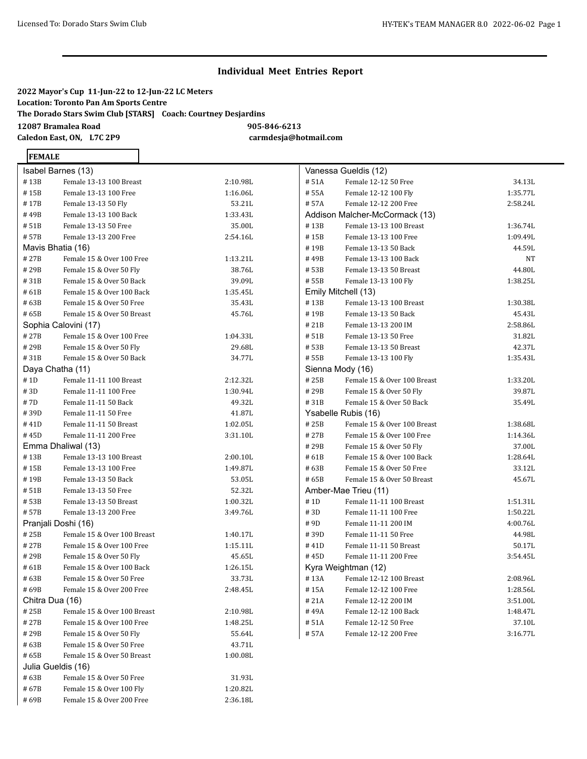### **2022 Mayor's Cup 11-Jun-22 to 12-Jun-22 LC Meters Location: Toronto Pan Am Sports Centre The Dorado Stars Swim Club [STARS] Coach: Courtney Desjardins 12087 Bramalea Road 905-846-6213 Caledon East, ON, L7C 2P9 carmdesja@hotmail.com**

# **FEMALE**

| Isabel Barnes (13)  |                             |          |
|---------------------|-----------------------------|----------|
| #13B                | Female 13-13 100 Breast     | 2:10.98L |
| #15B                | Female 13-13 100 Free       | 1:16.06L |
| #17B                | Female 13-13 50 Fly         | 53.21L   |
| # 49B               | Female 13-13 100 Back       | 1:33.43L |
| # 51B               | Female 13-13 50 Free        | 35.00L   |
| # 57B               | Female 13-13 200 Free       | 2:54.16L |
| Mavis Bhatia (16)   |                             |          |
| # 27B               | Female 15 & Over 100 Free   | 1:13.21L |
| #29B                | Female 15 & Over 50 Fly     | 38.76L   |
| #31B                | Female 15 & Over 50 Back    | 39.09L   |
| #61B                | Female 15 & Over 100 Back   | 1:35.45L |
| # 63B               | Female 15 & Over 50 Free    | 35.43L   |
| # 65B               | Female 15 & Over 50 Breast  | 45.76L   |
|                     | Sophia Calovini (17)        |          |
| #27B                | Female 15 & Over 100 Free   | 1:04.33L |
| #29B                | Female 15 & Over 50 Fly     | 29.68L   |
| #31B                | Female 15 & Over 50 Back    | 34.77L   |
| Daya Chatha (11)    |                             |          |
| #1D                 | Female 11-11 100 Breast     | 2:12.32L |
| #3D                 | Female 11-11 100 Free       | 1:30.94L |
| # 7D                | Female 11-11 50 Back        | 49.32L   |
| #39D                | Female 11-11 50 Free        | 41.87L   |
| #41D                | Female 11-11 50 Breast      | 1:02.05L |
| #45D                | Female 11-11 200 Free       | 3:31.10L |
|                     | Emma Dhaliwal (13)          |          |
| #13B                | Female 13-13 100 Breast     | 2:00.10L |
| #15B                | Female 13-13 100 Free       | 1:49.87L |
| #19B                | Female 13-13 50 Back        | 53.05L   |
| # 51B               | Female 13-13 50 Free        | 52.32L   |
| # 53B               | Female 13-13 50 Breast      | 1:00.32L |
| # 57B               | Female 13-13 200 Free       | 3:49.76L |
| Pranjali Doshi (16) |                             |          |
| #25B                | Female 15 & Over 100 Breast | 1:40.17L |
| #27B                | Female 15 & Over 100 Free   | 1:15.11L |
| # 29B               | Female 15 & Over 50 Fly     | 45.65L   |
| #61B                | Female 15 & Over 100 Back   | 1:26.15L |
| # 63B               | Female 15 & Over 50 Free    | 33.73L   |
| #69B                | Female 15 & Over 200 Free   | 2:48.45L |
| Chitra Dua (16)     |                             |          |
| #25B                | Female 15 & Over 100 Breast | 2:10.98L |
| # 27B               | Female 15 & Over 100 Free   | 1:48.25L |
| # 29B               | Female 15 & Over 50 Fly     | 55.64L   |
| #63B                | Female 15 & Over 50 Free    | 43.71L   |
| # 65B               | Female 15 & Over 50 Breast  | 1:00.08L |
| Julia Gueldis (16)  |                             |          |
| #63B                | Female 15 & Over 50 Free    | 31.93L   |
| #67B                | Female 15 & Over 100 Fly    | 1:20.82L |
| #69B                | Female 15 & Over 200 Free   | 2:36.18L |

|                  | Vanessa Gueldis (12)           |          |
|------------------|--------------------------------|----------|
| #51A             | Female 12-12 50 Free           | 34.13L   |
| #55A             | Female 12-12 100 Fly           | 1:35.77L |
| #57A             | Female 12-12 200 Free          | 2:58.24L |
|                  | Addison Malcher-McCormack (13) |          |
| #13B             | Female 13-13 100 Breast        | 1:36.74L |
| #15B             | Female 13-13 100 Free          | 1:09.49L |
| #19B             | Female 13-13 50 Back           | 44.59L   |
| #49B             | Female 13-13 100 Back          | NT       |
| # 53B            | Female 13-13 50 Breast         | 44.80L   |
| # 55B            | Female 13-13 100 Fly           | 1:38.25L |
|                  | Emily Mitchell (13)            |          |
| #13B             | Female 13-13 100 Breast        | 1:30.38L |
| #19B             | Female 13-13 50 Back           | 45.43L   |
| #21B             | Female 13-13 200 IM            | 2:58.86L |
| # 51B            | Female 13-13 50 Free           | 31.82L   |
| #53B             | Female 13-13 50 Breast         | 42.37L   |
| # 55B            | Female 13-13 100 Fly           | 1:35.43L |
| Sienna Mody (16) |                                |          |
| #25B             | Female 15 & Over 100 Breast    | 1:33.20L |
| #29B             | Female 15 & Over 50 Fly        | 39.87L   |
| #31B             | Female 15 & Over 50 Back       | 35.49L   |
|                  | Ysabelle Rubis (16)            |          |
| #25B             | Female 15 & Over 100 Breast    | 1:38.68L |
| #27B             | Female 15 & Over 100 Free      | 1:14.36L |
| #29B             | Female 15 & Over 50 Fly        | 37.00L   |
| #61B             | Female 15 & Over 100 Back      | 1:28.64L |
| #63B             | Female 15 & Over 50 Free       | 33.12L   |
| #65B             | Female 15 & Over 50 Breast     | 45.67L   |
|                  | Amber-Mae Trieu (11)           |          |
| #1D              | Female 11-11 100 Breast        | 1:51.31L |
| #3D              | Female 11-11 100 Free          | 1:50.22L |
| #9D              | Female 11-11 200 IM            | 4:00.76L |
| #39D             | Female 11-11 50 Free           | 44.98L   |
| #41D             | Female 11-11 50 Breast         | 50.17L   |
| #45D             | Female 11-11 200 Free          | 3:54.45L |
|                  | Kyra Weightman (12)            |          |
| #13A             | Female 12-12 100 Breast        | 2:08.96L |
| #15A             | Female 12-12 100 Free          | 1:28.56L |
| #21A             | Female 12-12 200 IM            | 3:51.00L |
| #49A             | Female 12-12 100 Back          | 1:48.47L |
| #51A             | Female 12-12 50 Free           | 37.10L   |
| #57A             | Female 12-12 200 Free          | 3:16.77L |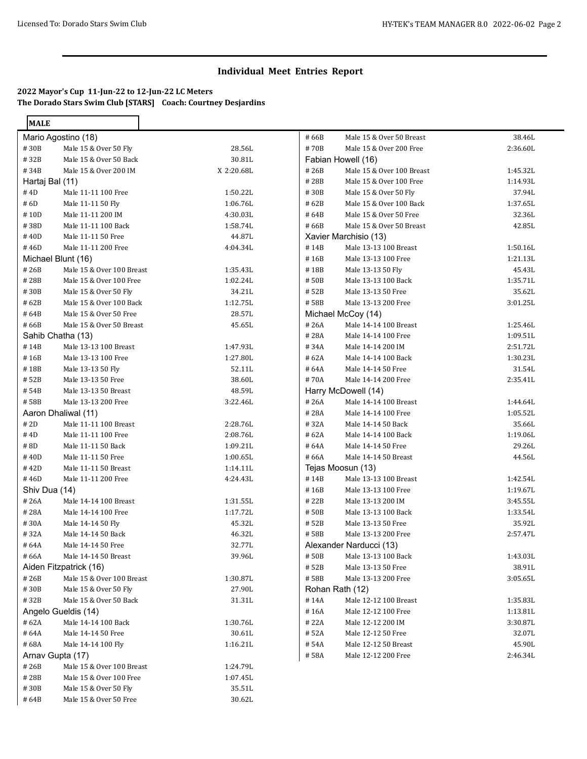### **2022 Mayor's Cup 11-Jun-22 to 12-Jun-22 LC Meters The Dorado Stars Swim Club [STARS] Coach: Courtney Desjardins**

| <b>MALE</b>     |                           |            |       |                           |          |
|-----------------|---------------------------|------------|-------|---------------------------|----------|
|                 | Mario Agostino (18)       |            | #66B  | Male 15 & Over 50 Breast  | 38.46L   |
| #30B            | Male 15 & Over 50 Fly     | 28.56L     | #70B  | Male 15 & Over 200 Free   | 2:36.60L |
| #32B            | Male 15 & Over 50 Back    | 30.81L     |       | Fabian Howell (16)        |          |
| #34B            | Male 15 & Over 200 IM     | X 2:20.68L | #26B  | Male 15 & Over 100 Breast | 1:45.32L |
| Hartaj Bal (11) |                           |            | #28B  | Male 15 & Over 100 Free   | 1:14.93L |
| # 4D            | Male 11-11 100 Free       | 1:50.22L   | #30B  | Male 15 & Over 50 Fly     | 37.94L   |
| #6D             | Male 11-11 50 Fly         | 1:06.76L   | #62B  | Male 15 & Over 100 Back   | 1:37.65L |
| #10D            | Male 11-11 200 IM         | 4:30.03L   | #64B  | Male 15 & Over 50 Free    | 32.36L   |
| #38D            | Male 11-11 100 Back       | 1:58.74L   | #66B  | Male 15 & Over 50 Breast  | 42.85L   |
| #40D            | Male 11-11 50 Free        | 44.87L     |       | Xavier Marchisio (13)     |          |
| #46D            | Male 11-11 200 Free       | 4:04.34L   | #14B  | Male 13-13 100 Breast     | 1:50.16L |
|                 | Michael Blunt (16)        |            | #16B  | Male 13-13 100 Free       | 1:21.13L |
| #26B            | Male 15 & Over 100 Breast | 1:35.43L   | #18B  | Male 13-13 50 Fly         | 45.43L   |
| #28B            | Male 15 & Over 100 Free   | 1:02.24L   | #50B  | Male 13-13 100 Back       | 1:35.71L |
| #30B            | Male 15 & Over 50 Fly     | 34.21L     | # 52B | Male 13-13 50 Free        | 35.62L   |
| #62B            | Male 15 & Over 100 Back   | 1:12.75L   | #58B  | Male 13-13 200 Free       | 3:01.25L |
| #64B            | Male 15 & Over 50 Free    | 28.57L     |       | Michael McCoy (14)        |          |
| #66B            | Male 15 & Over 50 Breast  | 45.65L     | #26A  | Male 14-14 100 Breast     | 1:25.46L |
|                 | Sahib Chatha (13)         |            | #28A  | Male 14-14 100 Free       | 1:09.51L |
| #14B            | Male 13-13 100 Breast     | 1:47.93L   | #34A  | Male 14-14 200 IM         | 2:51.72L |
| #16B            | Male 13-13 100 Free       | 1:27.80L   | #62A  | Male 14-14 100 Back       | 1:30.23L |
| #18B            | Male 13-13 50 Fly         | 52.11L     | #64A  | Male 14-14 50 Free        | 31.54L   |
| #52B            | Male 13-13 50 Free        | 38.60L     | #70A  | Male 14-14 200 Free       | 2:35.41L |
| #54B            | Male 13-13 50 Breast      | 48.59L     |       | Harry McDowell (14)       |          |
| #58B            | Male 13-13 200 Free       | 3:22.46L   | #26A  | Male 14-14 100 Breast     | 1:44.64L |
|                 | Aaron Dhaliwal (11)       |            | #28A  | Male 14-14 100 Free       | 1:05.52L |
| #2D             | Male 11-11 100 Breast     | 2:28.76L   | #32A  | Male 14-14 50 Back        | 35.66L   |
| #4D             | Male 11-11 100 Free       | 2:08.76L   | #62A  | Male 14-14 100 Back       | 1:19.06L |
| #8D             | Male 11-11 50 Back        | 1:09.21L   | #64A  | Male 14-14 50 Free        | 29.26L   |
| #40D            | Male 11-11 50 Free        | 1:00.65L   | #66A  | Male 14-14 50 Breast      | 44.56L   |
| #42D            | Male 11-11 50 Breast      | 1:14.11L   |       | Tejas Moosun (13)         |          |
| #46D            | Male 11-11 200 Free       | 4:24.43L   | #14B  | Male 13-13 100 Breast     | 1:42.54L |
| Shiv Dua (14)   |                           |            | #16B  | Male 13-13 100 Free       | 1:19.67L |
| #26A            | Male 14-14 100 Breast     | 1:31.55L   | #22B  | Male 13-13 200 IM         | 3:45.55L |
| #28A            | Male 14-14 100 Free       | 1:17.72L   | #50B  | Male 13-13 100 Back       | 1:33.54L |
| #30A            | Male 14-14 50 Fly         | 45.32L     | #52B  | Male 13-13 50 Free        | 35.92L   |
| #32A            | Male 14-14 50 Back        | 46.32L     | #58B  | Male 13-13 200 Free       | 2:57.47L |
| #64A            | Male 14-14 50 Free        | 32.77L     |       | Alexander Narducci (13)   |          |
| # 66A           | Male 14-14 50 Breast      | 39.96L     | #50B  | Male 13-13 100 Back       | 1:43.03L |
|                 | Aiden Fitzpatrick (16)    |            | #52B  | Male 13-13 50 Free        | 38.91L   |
| # 26B           | Male 15 & Over 100 Breast | 1:30.87L   | #58B  | Male 13-13 200 Free       | 3:05.65L |
| #30B            | Male 15 & Over 50 Fly     | 27.90L     |       | Rohan Rath (12)           |          |
| #32B            | Male 15 & Over 50 Back    | 31.31L     | #14A  | Male 12-12 100 Breast     | 1:35.83L |
|                 | Angelo Gueldis (14)       |            | #16A  | Male 12-12 100 Free       | 1:13.81L |
| #62A            | Male 14-14 100 Back       | 1:30.76L   | #22A  | Male 12-12 200 IM         | 3:30.87L |
| #64A            | Male 14-14 50 Free        | 30.61L     | # 52A | Male 12-12 50 Free        | 32.07L   |
| #68A            | Male 14-14 100 Fly        | 1:16.21L   | # 54A | Male 12-12 50 Breast      | 45.90L   |
|                 | Arnav Gupta (17)          |            | #58A  | Male 12-12 200 Free       | 2:46.34L |
| #26B            | Male 15 & Over 100 Breast | 1:24.79L   |       |                           |          |
| #28B            | Male 15 & Over 100 Free   | 1:07.45L   |       |                           |          |
| #30B            | Male 15 & Over 50 Fly     | 35.51L     |       |                           |          |
| #64B            | Male 15 & Over 50 Free    | 30.62L     |       |                           |          |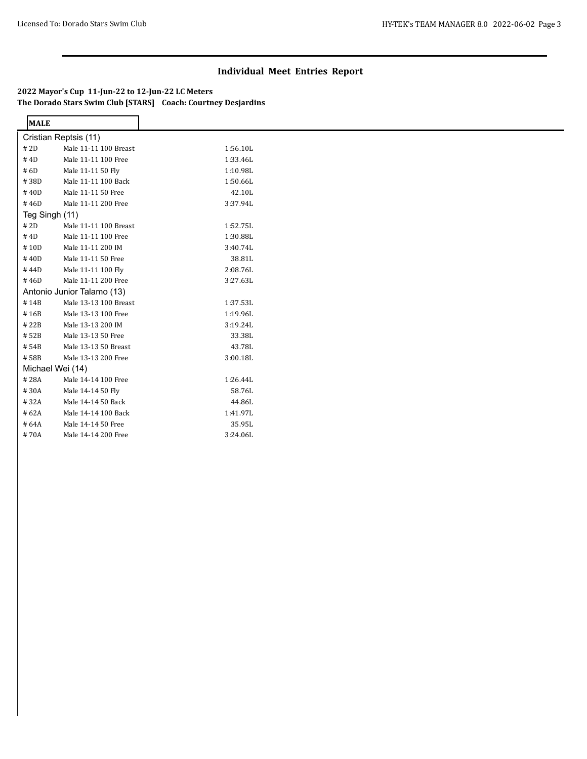### **2022 Mayor's Cup 11-Jun-22 to 12-Jun-22 LC Meters The Dorado Stars Swim Club [STARS] Coach: Courtney Desjardins**

| <b>MALE</b>    |                            |          |
|----------------|----------------------------|----------|
|                | Cristian Reptsis (11)      |          |
| # 2D           | Male 11-11 100 Breast      | 1:56.10L |
| # 4D           | Male 11-11 100 Free        | 1:33.46L |
| #6D            | Male 11-11 50 Fly          | 1:10.98L |
| #38D           | Male 11-11 100 Back        | 1:50.66L |
| #40D           | Male 11-11 50 Free         | 42.10L   |
| #46D           | Male 11-11 200 Free        | 3:37.94L |
| Teg Singh (11) |                            |          |
| # 2D           | Male 11-11 100 Breast      | 1:52.75L |
| # 4D           | Male 11-11 100 Free        | 1:30.88L |
| #10D           | Male 11-11 200 IM          | 3:40.74L |
| #40D           | Male 11-11 50 Free         | 38.81L   |
| #44D           | Male 11-11 100 Fly         | 2:08.76L |
| #46D           | Male 11-11 200 Free        | 3:27.63L |
|                | Antonio Junior Talamo (13) |          |
| #14B           | Male 13-13 100 Breast      | 1:37.53L |
| #16B           | Male 13-13 100 Free        | 1:19.96L |
| #22B           | Male 13-13 200 IM          | 3:19.24L |
| #52B           | Male 13-13 50 Free         | 33.38L   |
| #54B           | Male 13-13 50 Breast       | 43.78L   |
| #58B           | Male 13-13 200 Free        | 3:00.18L |
|                | Michael Wei (14)           |          |
| #28A           | Male 14-14 100 Free        | 1:26.44L |
| #30A           | Male 14-14 50 Fly          | 58.76L   |
| #32A           | Male 14-14 50 Back         | 44.86L   |
| #62A           | Male 14-14 100 Back        | 1:41.97L |
| #64A           | Male 14-14 50 Free         | 35.95L   |
| #70A           | Male 14-14 200 Free        | 3:24.06L |